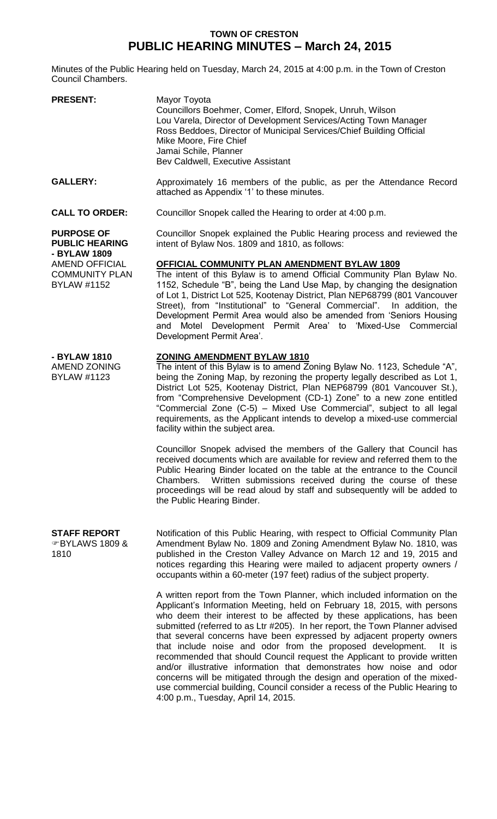## **TOWN OF CRESTON PUBLIC HEARING MINUTES – March 24, 2015**

Minutes of the Public Hearing held on Tuesday, March 24, 2015 at 4:00 p.m. in the Town of Creston Council Chambers.

| <b>PRESENT:</b>                                                                                                             | Mayor Toyota<br>Councillors Boehmer, Comer, Elford, Snopek, Unruh, Wilson<br>Lou Varela, Director of Development Services/Acting Town Manager<br>Ross Beddoes, Director of Municipal Services/Chief Building Official<br>Mike Moore, Fire Chief<br>Jamai Schile, Planner<br>Bev Caldwell, Executive Assistant                                                                                                                                                                                                                            |
|-----------------------------------------------------------------------------------------------------------------------------|------------------------------------------------------------------------------------------------------------------------------------------------------------------------------------------------------------------------------------------------------------------------------------------------------------------------------------------------------------------------------------------------------------------------------------------------------------------------------------------------------------------------------------------|
| <b>GALLERY:</b>                                                                                                             | Approximately 16 members of the public, as per the Attendance Record<br>attached as Appendix '1' to these minutes.                                                                                                                                                                                                                                                                                                                                                                                                                       |
| <b>CALL TO ORDER:</b>                                                                                                       | Councillor Snopek called the Hearing to order at 4:00 p.m.                                                                                                                                                                                                                                                                                                                                                                                                                                                                               |
| <b>PURPOSE OF</b><br><b>PUBLIC HEARING</b><br>- BYLAW 1809<br>AMEND OFFICIAL<br><b>COMMUNITY PLAN</b><br><b>BYLAW #1152</b> | Councillor Snopek explained the Public Hearing process and reviewed the<br>intent of Bylaw Nos. 1809 and 1810, as follows:                                                                                                                                                                                                                                                                                                                                                                                                               |
|                                                                                                                             | <b>OFFICIAL COMMUNITY PLAN AMENDMENT BYLAW 1809</b><br>The intent of this Bylaw is to amend Official Community Plan Bylaw No.<br>1152, Schedule "B", being the Land Use Map, by changing the designation<br>of Lot 1, District Lot 525, Kootenay District, Plan NEP68799 (801 Vancouver<br>Street), from "Institutional" to "General Commercial". In addition, the<br>Development Permit Area would also be amended from 'Seniors Housing<br>Motel Development Permit Area' to 'Mixed-Use Commercial<br>and<br>Development Permit Area'. |
| - BYLAW 1810<br>AMEND ZONING<br><b>BYLAW #1123</b>                                                                          | ZONING AMENDMENT BYLAW 1810<br>The intent of this Bylaw is to amend Zoning Bylaw No. 1123, Schedule "A",<br>being the Zoning Map, by rezoning the property legally described as Lot 1,<br>District Lot 525, Kootenay District, Plan NEP68799 (801 Vancouver St.),<br>from "Comprehensive Development (CD-1) Zone" to a new zone entitled<br>"Commercial Zone (C-5) - Mixed Use Commercial", subject to all legal<br>requirements, as the Applicant intends to develop a mixed-use commercial<br>facility within the subject area.        |
|                                                                                                                             | Councillor Snopek advised the members of the Gallery that Council has<br>received documents which are available for review and referred them to the<br>Public Hearing Binder located on the table at the entrance to the Council<br>Chambers. Written submissions received during the course of these<br>proceedings will be read aloud by staff and subsequently will be added to<br>the Public Hearing Binder.                                                                                                                         |
| <b>STAFF REPORT</b><br>சBYLAWS 1809 &<br>1810                                                                               | Notification of this Public Hearing, with respect to Official Community Plan<br>Amendment Bylaw No. 1809 and Zoning Amendment Bylaw No. 1810, was<br>published in the Creston Valley Advance on March 12 and 19, 2015 and<br>notices regarding this Hearing were mailed to adjacent property owners /<br>occupants within a 60-meter (197 feet) radius of the subject property.                                                                                                                                                          |
|                                                                                                                             | A written report from the Town Planner, which included information on the<br>Applicant's Information Meeting, held on February 18, 2015, with persons<br>who deem their interest to be affected by these applications, has been<br>submitted (referred to as Ltr #205). In her report, the Town Planner advised                                                                                                                                                                                                                          |

that several concerns have been expressed by adjacent property owners that include noise and odor from the proposed development. It is recommended that should Council request the Applicant to provide written and/or illustrative information that demonstrates how noise and odor concerns will be mitigated through the design and operation of the mixeduse commercial building, Council consider a recess of the Public Hearing to 4:00 p.m., Tuesday, April 14, 2015.